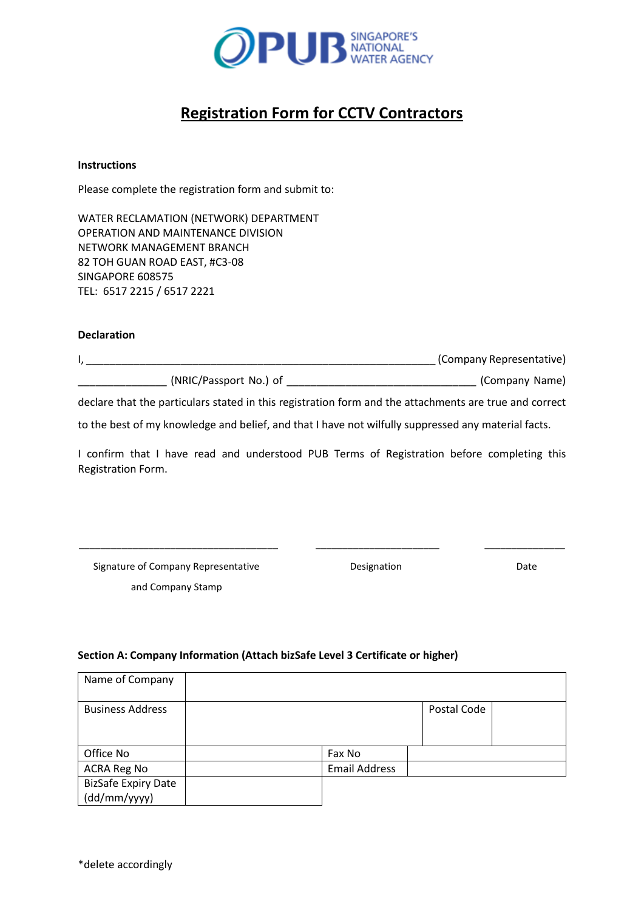

# **Registration Form for CCTV Contractors**

#### **Instructions**

Please complete the registration form and submit to:

WATER RECLAMATION (NETWORK) DEPARTMENT OPERATION AND MAINTENANCE DIVISION NETWORK MANAGEMENT BRANCH 82 TOH GUAN ROAD EAST, #C3-08 SINGAPORE 608575 TEL: 6517 2215 / 6517 2221

### **Declaration**

|                        | (Company Representative) |
|------------------------|--------------------------|
| (NRIC/Passport No.) of | (Company Name)           |

declare that the particulars stated in this registration form and the attachments are true and correct

to the best of my knowledge and belief, and that I have not wilfully suppressed any material facts.

I confirm that I have read and understood PUB Terms of Registration before completing this Registration Form.

Signature of Company Representative and Company Stamp

\_\_\_\_\_\_\_\_\_\_\_\_\_\_\_\_\_\_\_\_\_\_\_\_\_\_\_\_\_\_\_\_\_\_\_\_\_

Designation

 $\overline{\phantom{a}}$  , which is the set of the set of the set of the set of the set of the set of the set of the set of the set of the set of the set of the set of the set of the set of the set of the set of the set of the set of

Date

 $\frac{1}{\sqrt{2}}$  ,  $\frac{1}{\sqrt{2}}$  ,  $\frac{1}{\sqrt{2}}$  ,  $\frac{1}{\sqrt{2}}$  ,  $\frac{1}{\sqrt{2}}$  ,  $\frac{1}{\sqrt{2}}$  ,  $\frac{1}{\sqrt{2}}$  ,  $\frac{1}{\sqrt{2}}$  ,  $\frac{1}{\sqrt{2}}$  ,  $\frac{1}{\sqrt{2}}$  ,  $\frac{1}{\sqrt{2}}$  ,  $\frac{1}{\sqrt{2}}$  ,  $\frac{1}{\sqrt{2}}$  ,  $\frac{1}{\sqrt{2}}$  ,  $\frac{1}{\sqrt{2}}$ 

# **Section A: Company Information (Attach bizSafe Level 3 Certificate or higher)**

| Name of Company            |                      |             |  |
|----------------------------|----------------------|-------------|--|
| <b>Business Address</b>    |                      | Postal Code |  |
|                            |                      |             |  |
| Office No                  | Fax No               |             |  |
| ACRA Reg No                | <b>Email Address</b> |             |  |
| <b>BizSafe Expiry Date</b> |                      |             |  |
| (dd/mm/yyyy)               |                      |             |  |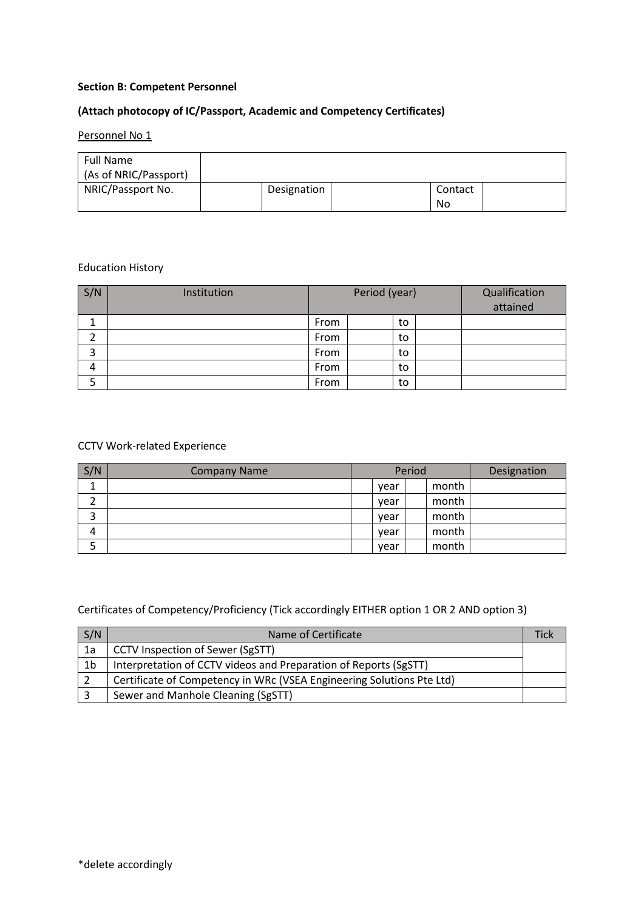### **Section B: Competent Personnel**

# **(Attach photocopy of IC/Passport, Academic and Competency Certificates)**

# Personnel No 1

| Full Name<br>(As of NRIC/Passport) |             |               |  |
|------------------------------------|-------------|---------------|--|
| NRIC/Passport No.                  | Designation | Contact<br>No |  |

## Education History

| S/N | Institution | Period (year) |  |    | Qualification<br>attained |  |
|-----|-------------|---------------|--|----|---------------------------|--|
|     |             | From          |  | to |                           |  |
| ◠   |             | From          |  | to |                           |  |
| 3   |             | From          |  | to |                           |  |
| 4   |             | From          |  | to |                           |  |
|     |             | From          |  | to |                           |  |

## CCTV Work-related Experience

| S/N | <b>Company Name</b> | Period |  |       | Designation |
|-----|---------------------|--------|--|-------|-------------|
|     |                     | year   |  | month |             |
|     |                     | vear   |  | month |             |
| 3   |                     | vear   |  | month |             |
| 4   |                     | vear   |  | month |             |
| Э   |                     | year   |  | month |             |

Certificates of Competency/Proficiency (Tick accordingly EITHER option 1 OR 2 AND option 3)

| S/N | Name of Certificate                                                   |  |
|-----|-----------------------------------------------------------------------|--|
| 1a  | <b>CCTV Inspection of Sewer (SgSTT)</b>                               |  |
| 1b  | Interpretation of CCTV videos and Preparation of Reports (SgSTT)      |  |
|     | Certificate of Competency in WRc (VSEA Engineering Solutions Pte Ltd) |  |
|     | Sewer and Manhole Cleaning (SgSTT)                                    |  |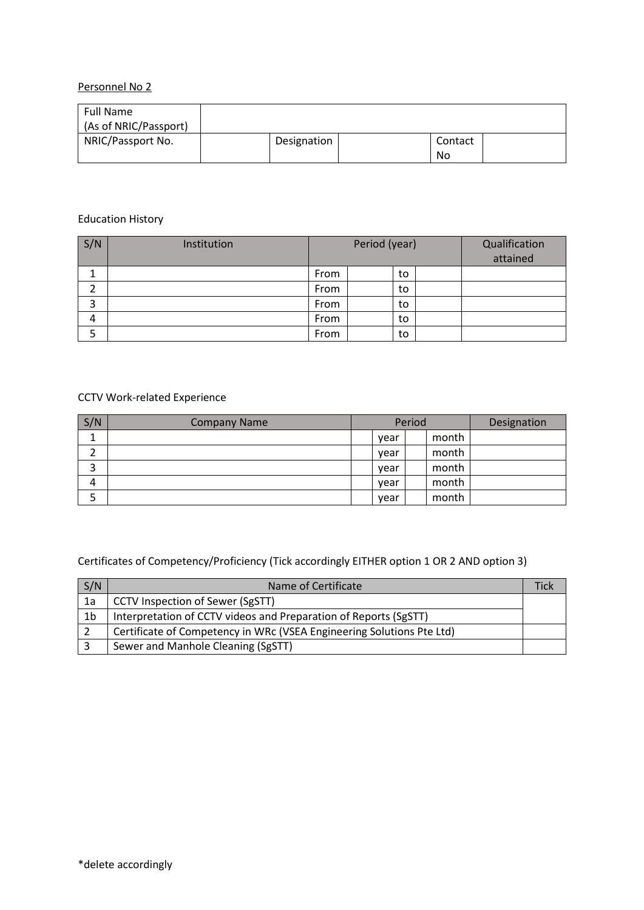# Personnel No 2

| <b>Full Name</b><br>(As of NRIC/Passport) |             |               |  |
|-------------------------------------------|-------------|---------------|--|
| NRIC/Passport No.                         | Designation | Contact<br>No |  |

## Education History

| S/N | Institution | Period (year) |  |    | Qualification<br>attained |  |
|-----|-------------|---------------|--|----|---------------------------|--|
| ᅩ   |             | From          |  | to |                           |  |
|     |             | From          |  | to |                           |  |
| 3   |             | From          |  | to |                           |  |
| 4   |             | From          |  | to |                           |  |
| 5   |             | From          |  | to |                           |  |

# CCTV Work-related Experience

| S/N | <b>Company Name</b> | Period |      |  | Designation |  |
|-----|---------------------|--------|------|--|-------------|--|
|     |                     |        | year |  | month       |  |
| ⌒   |                     |        | year |  | month       |  |
| 3   |                     |        | year |  | month       |  |
| 4   |                     |        | vear |  | month       |  |
| כ   |                     |        | vear |  | month       |  |

Certificates of Competency/Proficiency (Tick accordingly EITHER option 1 OR 2 AND option 3)

| S/N            | Name of Certificate                                                   |  |
|----------------|-----------------------------------------------------------------------|--|
| 1a             | CCTV Inspection of Sewer (SgSTT)                                      |  |
| 1 <sub>b</sub> | Interpretation of CCTV videos and Preparation of Reports (SgSTT)      |  |
|                | Certificate of Competency in WRc (VSEA Engineering Solutions Pte Ltd) |  |
|                | Sewer and Manhole Cleaning (SgSTT)                                    |  |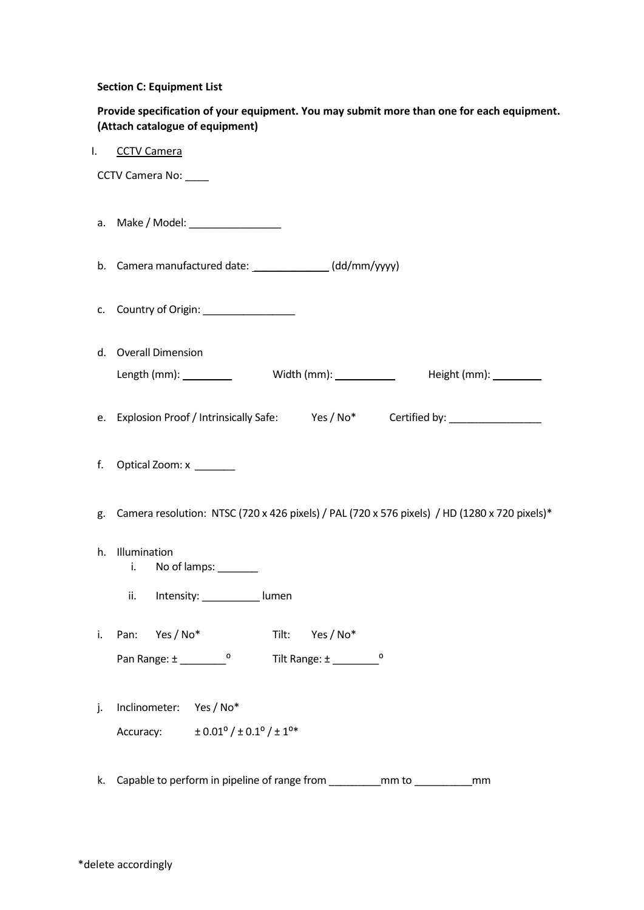#### **Section C: Equipment List**

| Provide specification of your equipment. You may submit more than one for each equipment. |
|-------------------------------------------------------------------------------------------|
| (Attach catalogue of equipment)                                                           |

| <b>CCTV Camera</b> |  |
|--------------------|--|
|                    |  |

CCTV Camera No: \_\_\_\_

- a. Make / Model: \_\_\_\_\_\_\_\_\_\_\_\_\_\_\_\_
- b. Camera manufactured date: \_\_\_\_\_\_\_\_\_\_\_\_\_\_\_\_ (dd/mm/yyyy)
- c. Country of Origin: \_\_\_\_\_\_\_\_\_\_\_\_\_\_\_\_
- d. Overall Dimension Length (mm): \_\_ Width (mm): \_ Height (mm): \_\_\_\_\_\_\_\_
- e. Explosion Proof / Intrinsically Safe: Yes / No\* Certified by: \_\_\_\_\_\_\_\_\_\_\_\_\_\_\_
- f. Optical Zoom: x \_\_\_\_\_\_\_
- g. Camera resolution: NTSC (720 x 426 pixels) / PAL (720 x 576 pixels) / HD (1280 x 720 pixels)\*
- h. Illumination
	- i. No of lamps: \_\_\_\_\_\_\_
	- ii. Intensity: \_\_\_\_\_\_\_\_\_\_ lumen
- i. Pan: Yes / No\* Tilt: Yes / No\* Pan Range: ± \_\_\_\_\_\_\_\_⁰ Tilt Range: ± \_\_\_\_\_\_\_\_⁰
- j. Inclinometer: Yes / No\* Accuracy:  $\pm 0.01^{\circ}/\pm 0.1^{\circ}/\pm 1^{\circ*}$
- k. Capable to perform in pipeline of range from \_\_\_\_\_\_\_\_\_mm to \_\_\_\_\_\_\_\_\_\_\_\_\_\_mm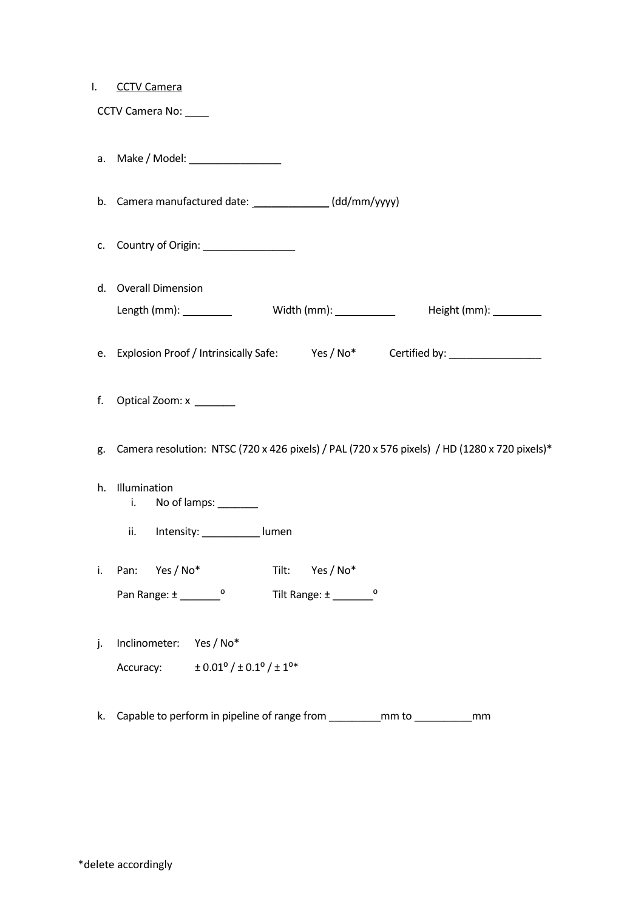#### I. CCTV Camera

CCTV Camera No: \_\_\_\_

- a. Make / Model: \_\_\_\_\_\_\_\_\_\_\_\_\_\_\_\_
- b. Camera manufactured date: \_\_\_\_\_\_\_\_\_\_\_\_\_ (dd/mm/yyyy)
- c. Country of Origin: \_\_\_\_\_\_\_\_\_\_\_\_\_\_\_\_
- d. Overall Dimension Length (mm): \_\_\_\_\_\_\_\_\_\_\_\_\_ Width (mm): \_\_\_\_\_\_\_\_\_\_\_\_ Height (mm): \_\_\_\_\_\_\_\_\_
- e. Explosion Proof / Intrinsically Safe: Yes / No\* Certified by: \_\_\_\_\_\_\_\_\_\_\_\_\_\_\_
- f. Optical Zoom: x \_\_\_\_\_\_\_
- g. Camera resolution: NTSC (720 x 426 pixels) / PAL (720 x 576 pixels) / HD (1280 x 720 pixels)\*
- h. Illumination
	- i. No of lamps: \_\_\_\_\_\_
	- ii. Intensity: \_\_\_\_\_\_\_\_\_\_ lumen

|              | i. Pan: Yes/No* | Tilt:             | Yes / No* |  |
|--------------|-----------------|-------------------|-----------|--|
| Pan Range: ± |                 | Tilt Range: $\pm$ |           |  |

- j. Inclinometer: Yes / No\* Accuracy:  $\pm 0.01^{\circ}/\pm 0.1^{\circ}/\pm 1^{\circ*}$
- k. Capable to perform in pipeline of range from \_\_\_\_\_\_\_\_\_mm to \_\_\_\_\_\_\_\_\_\_mm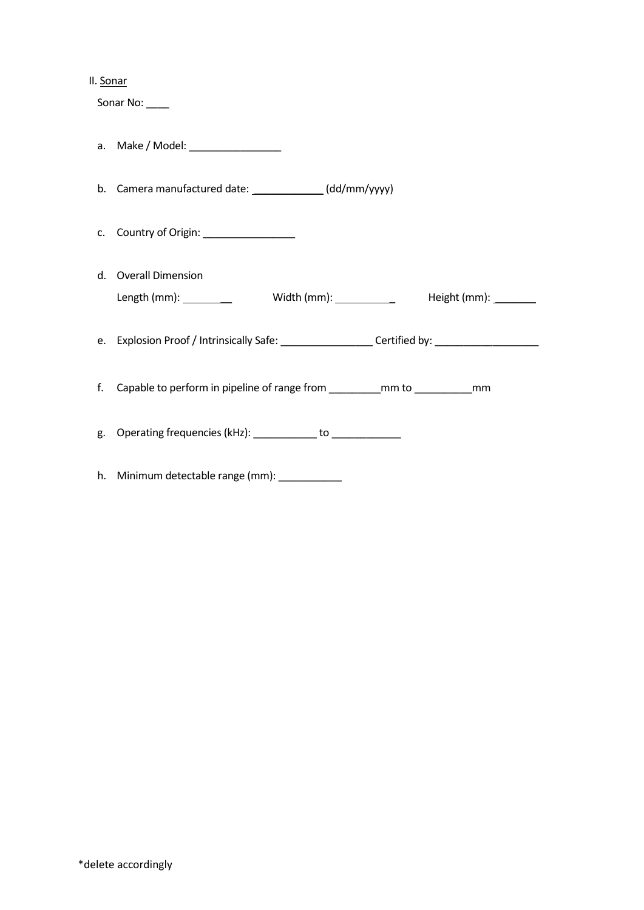#### II. Sonar

Sonar No:

- a. Make / Model: \_\_\_\_\_\_\_\_\_\_\_\_\_\_\_\_
- b. Camera manufactured date: \_\_\_\_\_\_\_\_\_\_\_\_\_\_(dd/mm/yyyy)
- c. Country of Origin: \_\_\_\_\_\_\_\_\_\_\_\_\_\_\_\_
- d. Overall Dimension Length (mm): \_\_ Width (mm): \_ Height (mm): \_\_\_\_\_\_\_
- e. Explosion Proof / Intrinsically Safe: \_\_\_\_\_\_\_\_\_\_\_\_\_\_\_\_ Certified by: \_\_\_\_\_\_\_\_\_\_\_\_\_\_\_\_\_\_
- f. Capable to perform in pipeline of range from \_\_\_\_\_\_\_\_\_mm to \_\_\_\_\_\_\_\_\_\_mm
- g. Operating frequencies (kHz): example to to the state of the state of the state of the state of the state of the state of the state of the state of the state of the state of the state of the state of the state of the sta
- h. Minimum detectable range (mm): \_\_\_\_\_\_\_\_\_\_\_\_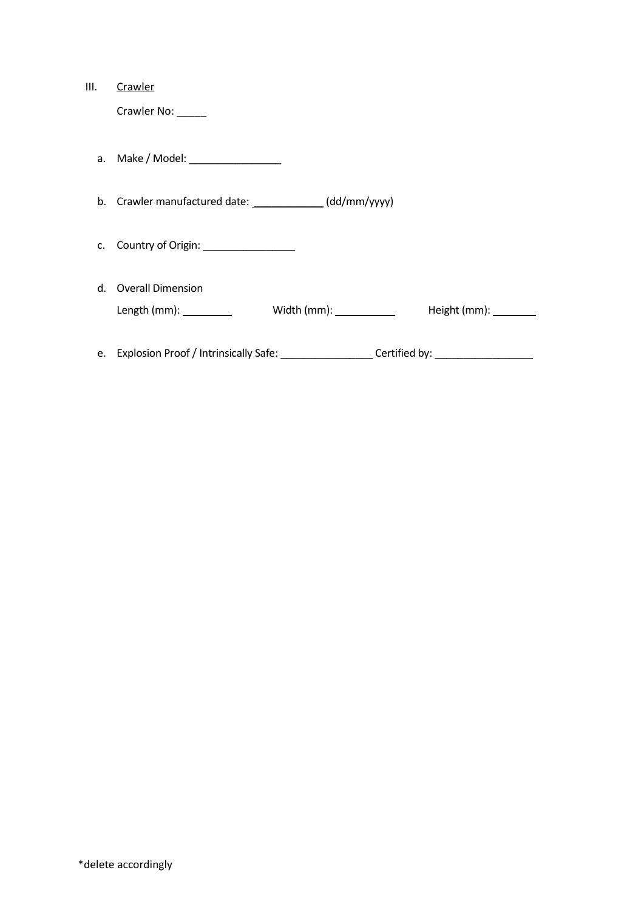| III. | Crawler                                                                                             |                                                |                          |  |  |
|------|-----------------------------------------------------------------------------------------------------|------------------------------------------------|--------------------------|--|--|
|      | Crawler No: _____                                                                                   |                                                |                          |  |  |
|      |                                                                                                     |                                                |                          |  |  |
|      | a. Make / Model: ___________________                                                                |                                                |                          |  |  |
|      |                                                                                                     |                                                |                          |  |  |
|      | b. Crawler manufactured date: ______________(dd/mm/yyyy)                                            |                                                |                          |  |  |
|      |                                                                                                     |                                                |                          |  |  |
| C.   | Country of Origin: _________________                                                                |                                                |                          |  |  |
|      |                                                                                                     |                                                |                          |  |  |
|      | d. Overall Dimension                                                                                |                                                |                          |  |  |
|      | Length (mm): $\_\_$                                                                                 | Width (mm): $\_\_\_\_\_\_\_\_\_\_\_\_\_\_\_\_$ | Height (mm): Neight (mm) |  |  |
|      |                                                                                                     |                                                |                          |  |  |
|      | e. Explosion Proof / Intrinsically Safe: ___________________Certified by: _________________________ |                                                |                          |  |  |